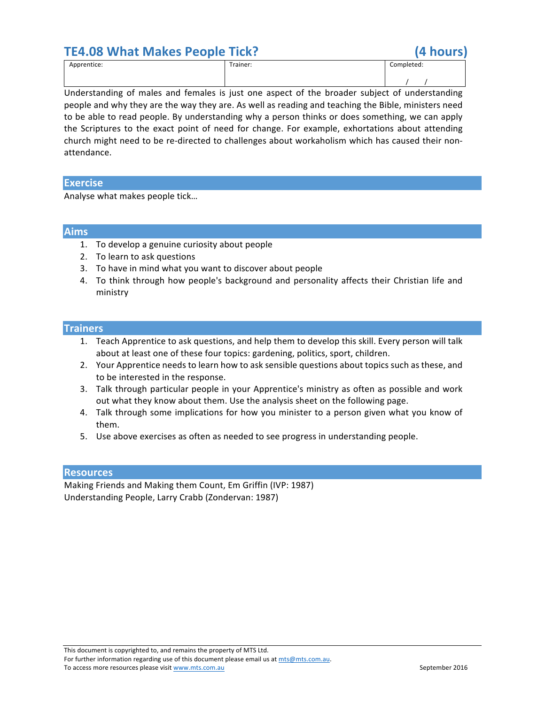## **TE4.08 What Makes People Tick? (4 hours)**



| Apprentice: | [rainer: | Completed: |
|-------------|----------|------------|
|             |          |            |
|             |          |            |
|             |          |            |

Understanding of males and females is just one aspect of the broader subject of understanding people and why they are the way they are. As well as reading and teaching the Bible, ministers need to be able to read people. By understanding why a person thinks or does something, we can apply the Scriptures to the exact point of need for change. For example, exhortations about attending church might need to be re-directed to challenges about workaholism which has caused their nonattendance.

### **Exercise**

Analyse what makes people tick...

#### **Aims**

- 1. To develop a genuine curiosity about people
- 2. To learn to ask questions
- 3. To have in mind what you want to discover about people
- 4. To think through how people's background and personality affects their Christian life and ministry

#### **Trainers**

- 1. Teach Apprentice to ask questions, and help them to develop this skill. Every person will talk about at least one of these four topics: gardening, politics, sport, children.
- 2. Your Apprentice needs to learn how to ask sensible questions about topics such as these, and to be interested in the response.
- 3. Talk through particular people in your Apprentice's ministry as often as possible and work out what they know about them. Use the analysis sheet on the following page.
- 4. Talk through some implications for how you minister to a person given what you know of them.
- 5. Use above exercises as often as needed to see progress in understanding people.

#### **Resources**

Making Friends and Making them Count, Em Griffin (IVP: 1987) Understanding People, Larry Crabb (Zondervan: 1987)